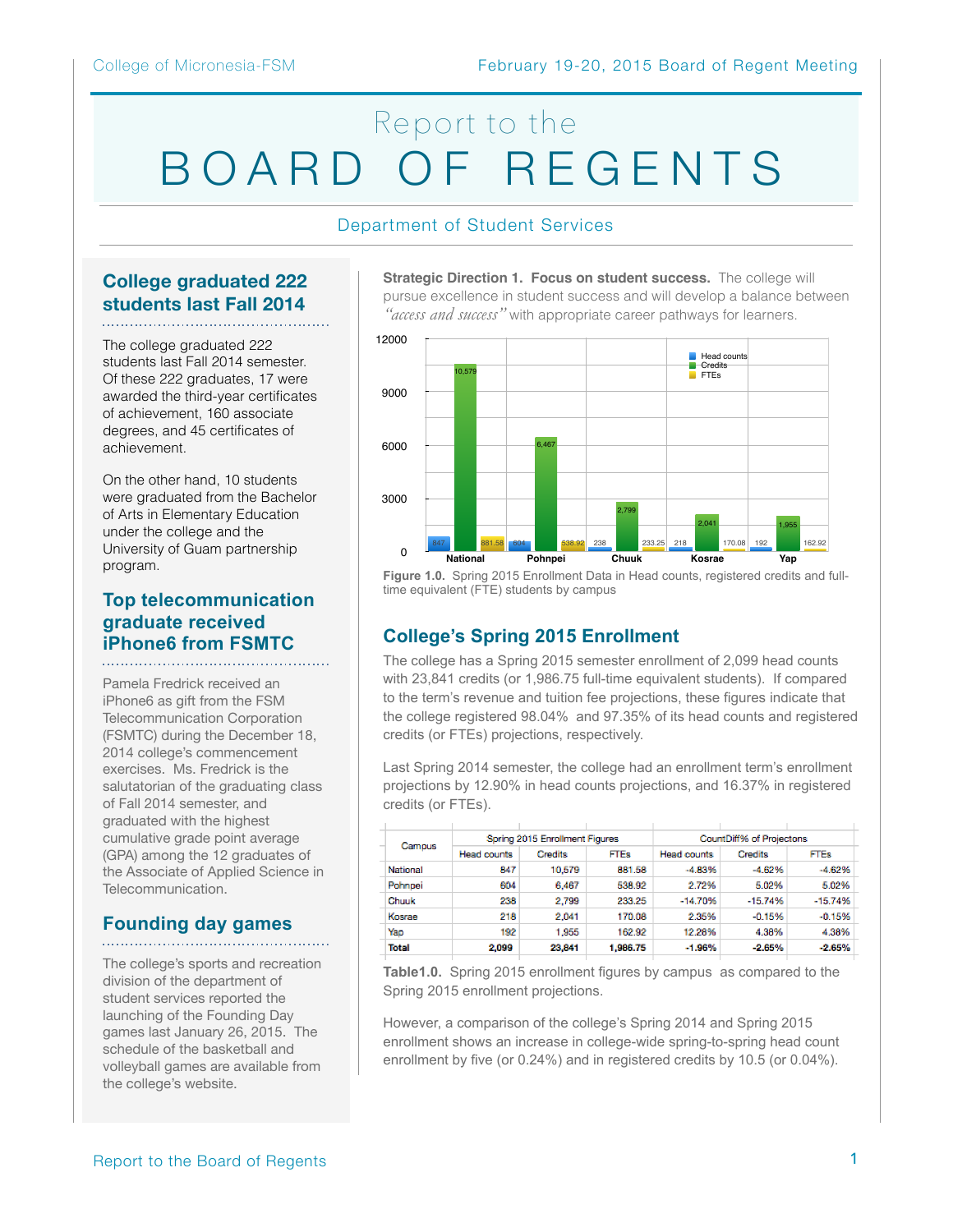# Report to the BOARD OF REGENTS

#### Department of Student Services

# **College graduated 222 students last Fall 2014**

The college graduated 222 students last Fall 2014 semester. Of these 222 graduates, 17 were awarded the third-year certificates of achievement, 160 associate degrees, and 45 certificates of achievement.

On the other hand, 10 students were graduated from the Bachelor of Arts in Elementary Education under the college and the University of Guam partnership program.

## **Top telecommunication graduate received iPhone6 from FSMTC**

Pamela Fredrick received an iPhone6 as gift from the FSM Telecommunication Corporation (FSMTC) during the December 18, 2014 college's commencement exercises. Ms. Fredrick is the salutatorian of the graduating class of Fall 2014 semester, and graduated with the highest cumulative grade point average (GPA) among the 12 graduates of the Associate of Applied Science in Telecommunication.

# **Founding day games**

The college's sports and recreation division of the department of student services reported the launching of the Founding Day games last January 26, 2015. The schedule of the basketball and volleyball games are available from the college's website.

**Strategic Direction 1. Focus on student success.** The college will pursue excellence in student success and will develop a balance between *"access and success"* with appropriate career pathways for learners.



**Figure 1.0.** Spring 2015 Enrollment Data in Head counts, registered credits and fulltime equivalent (FTE) students by campus

# **College's Spring 2015 Enrollment**

The college has a Spring 2015 semester enrollment of 2,099 head counts with 23,841 credits (or 1,986.75 full-time equivalent students). If compared to the term's revenue and tuition fee projections, these figures indicate that the college registered 98.04% and 97.35% of its head counts and registered credits (or FTEs) projections, respectively.

Last Spring 2014 semester, the college had an enrollment term's enrollment projections by 12.90% in head counts projections, and 16.37% in registered credits (or FTEs).

| Campus   |                    | Soring 2015 Enrollment Figures |             | CountDiff% of Projectons |           |             |  |
|----------|--------------------|--------------------------------|-------------|--------------------------|-----------|-------------|--|
|          | <b>Head counts</b> | Credits                        | <b>FTEs</b> | <b>Head counts</b>       | Credits   | <b>FTEs</b> |  |
| National | 847                | 10,579                         | 881.58      | $-4.83%$                 | $-4.62%$  | $-4.62%$    |  |
| Pohnpei  | 604                | 6.467                          | 538.92      | 2.72%                    | 5.02%     | 5.02%       |  |
| Chuuk    | 238                | 2,799                          | 233.25      | $-14,70%$                | $-15.74%$ | $-15.74%$   |  |
| Kosrae   | 218                | 2.041                          | 170.08      | 2.35%                    | $-0.15%$  | $-0.15%$    |  |
| Yao      | 192                | 1.955                          | 162.92      | 12.28%                   | 4.38%     | 4.38%       |  |
| Total    | 2,099              | 23.841                         | 1,986.75    | $-1.96%$                 | $-2.65%$  | $-2.65%$    |  |
|          |                    |                                |             |                          |           |             |  |

**Table1.0.** Spring 2015 enrollment figures by campus as compared to the Spring 2015 enrollment projections.

However, a comparison of the college's Spring 2014 and Spring 2015 enrollment shows an increase in college-wide spring-to-spring head count enrollment by five (or 0.24%) and in registered credits by 10.5 (or 0.04%).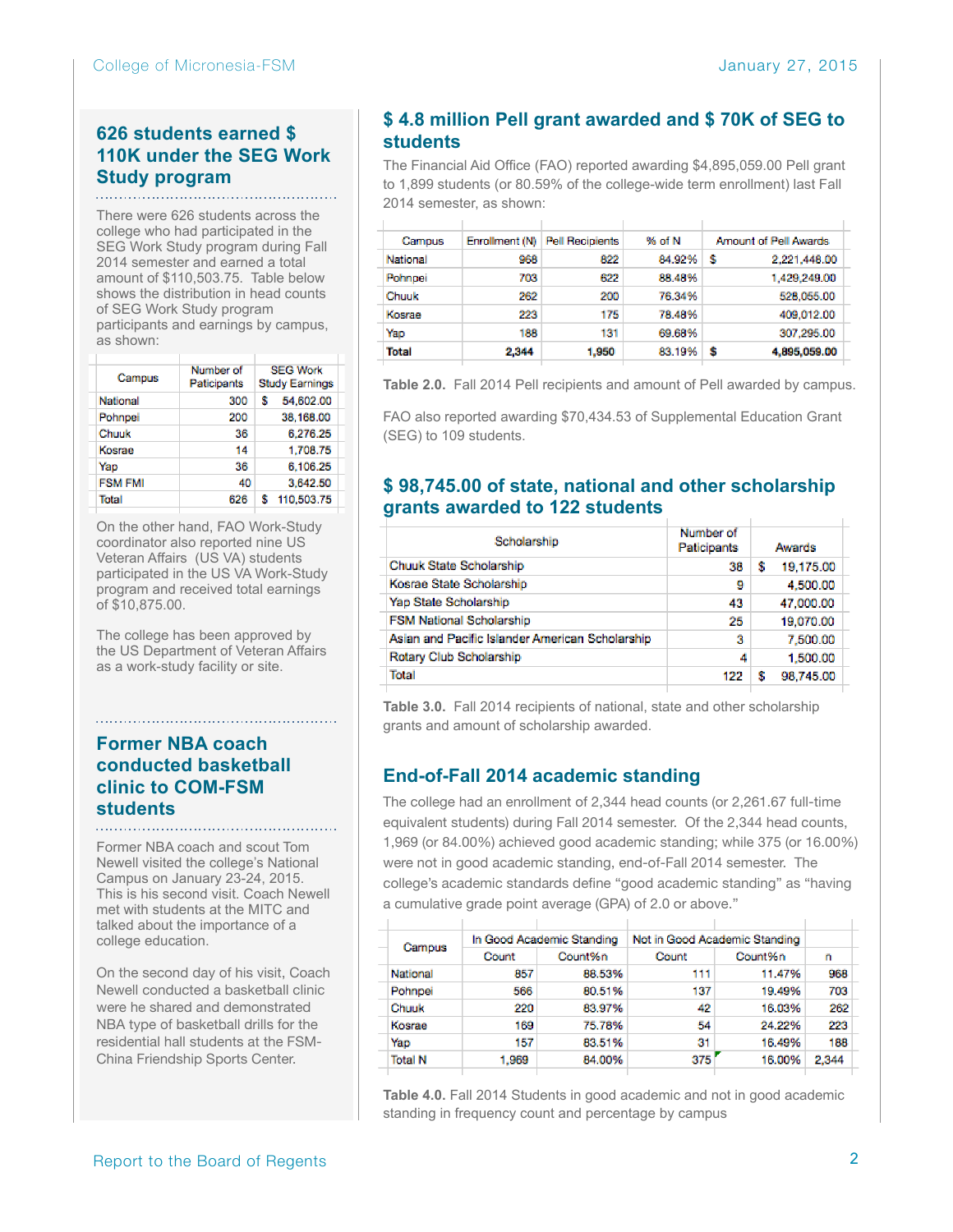# **626 students earned \$ 110K under the SEG Work Study program**

There were 626 students across the college who had participated in the SEG Work Study program during Fall 2014 semester and earned a total amount of \$110,503.75. Table below shows the distribution in head counts of SEG Work Study program participants and earnings by campus, as shown:

| Campus          | Number of<br>Paticipants | <b>SEG Work</b><br><b>Study Earnings</b> |
|-----------------|--------------------------|------------------------------------------|
| <b>National</b> | 300                      | 54.602.00<br>s                           |
| Pohnpei         | 200                      | 38,168.00                                |
| Chuuk           | 36                       | 6,276.25                                 |
| Kosrae          | 14                       | 1,708.75                                 |
| Yap             | 36                       | 6,106.25                                 |
| <b>FSM FMI</b>  | 40                       | 3.642.50                                 |
| Total           | 626                      | 110,503.75<br>s                          |
|                 |                          |                                          |

On the other hand, FAO Work-Study coordinator also reported nine US Veteran Affairs (US VA) students participated in the US VA Work-Study program and received total earnings of \$10,875.00.

The college has been approved by the US Department of Veteran Affairs as a work-study facility or site.

#### **Former NBA coach conducted basketball clinic to COM-FSM students**

Former NBA coach and scout Tom Newell visited the college's National Campus on January 23-24, 2015. This is his second visit. Coach Newell met with students at the MITC and talked about the importance of a college education.

On the second day of his visit, Coach Newell conducted a basketball clinic were he shared and demonstrated NBA type of basketball drills for the residential hall students at the FSM-China Friendship Sports Center.

# **\$ 4.8 million Pell grant awarded and \$ 70K of SEG to students**

The Financial Aid Office (FAO) reported awarding \$4,895,059.00 Pell grant to 1,899 students (or 80.59% of the college-wide term enrollment) last Fall 2014 semester, as shown:

| Campus       | Enrollment (N) | <b>Pell Recipients</b> | % of N | Amount of Pell Awards |
|--------------|----------------|------------------------|--------|-----------------------|
| National     | 968            | 822                    | 84.92% | s<br>2.221.448.00     |
| Pohnpei      | 703            | 622                    | 88.48% | 1,429,249.00          |
| Chuuk        | 262            | 200                    | 76.34% | 528.055.00            |
| Kosrae       | 223            | 175                    | 78.48% | 409.012.00            |
| Yap          | 188            | 131                    | 69.68% | 307.295.00            |
| <b>Total</b> | 2.344          | 1,950                  | 83.19% | s<br>4.895.059.00     |
|              |                |                        |        |                       |

**Table 2.0.** Fall 2014 Pell recipients and amount of Pell awarded by campus.

FAO also reported awarding \$70,434.53 of Supplemental Education Grant (SEG) to 109 students.

#### **\$ 98,745.00 of state, national and other scholarship grants awarded to 122 students**

| Scholarship                                     | Number of<br>Paticipants |   | Awards    |
|-------------------------------------------------|--------------------------|---|-----------|
| Chuuk State Scholarship                         | 38                       | s | 19.175.00 |
| Kosrae State Scholarship                        | 9                        |   | 4,500.00  |
| Yap State Scholarship                           | 43                       |   | 47,000.00 |
| FSM National Scholarship                        | 25                       |   | 19,070.00 |
| Asian and Pacific Islander American Scholarship | 3                        |   | 7,500.00  |
| Rotary Club Scholarship                         | 4                        |   | 1,500.00  |
| Total                                           | 122                      | s | 98 745.00 |
|                                                 |                          |   |           |

**Table 3.0.** Fall 2014 recipients of national, state and other scholarship grants and amount of scholarship awarded.

# **End-of-Fall 2014 academic standing**

The college had an enrollment of 2,344 head counts (or 2,261.67 full-time equivalent students) during Fall 2014 semester. Of the 2,344 head counts, 1,969 (or 84.00%) achieved good academic standing; while 375 (or 16.00%) were not in good academic standing, end-of-Fall 2014 semester. The college's academic standards define "good academic standing" as "having a cumulative grade point average (GPA) of 2.0 or above."

| Campus         |       | In Good Academic Standing |       | Not in Good Academic Standing |       |
|----------------|-------|---------------------------|-------|-------------------------------|-------|
|                | Count | Count%n                   | Count | Count%n                       | n     |
| National       | 857   | 88.53%                    | 111   | 11.47%                        | 968   |
| Pohnpei        | 566   | 80.51%                    | 137   | 19.49%                        | 703   |
| Chuuk          | 220   | 83.97%                    | 42    | 16.03%                        | 262   |
| Kosrae         | 169   | 75.78%                    | 54    | 24.22%                        | 223   |
| Yao            | 157   | 83.51%                    | 31    | 16.49%                        | 188   |
| <b>Total N</b> | 1.969 | 84.00%                    | 375   | 16.00%                        | 2.344 |
|                |       |                           |       |                               |       |

**Table 4.0.** Fall 2014 Students in good academic and not in good academic standing in frequency count and percentage by campus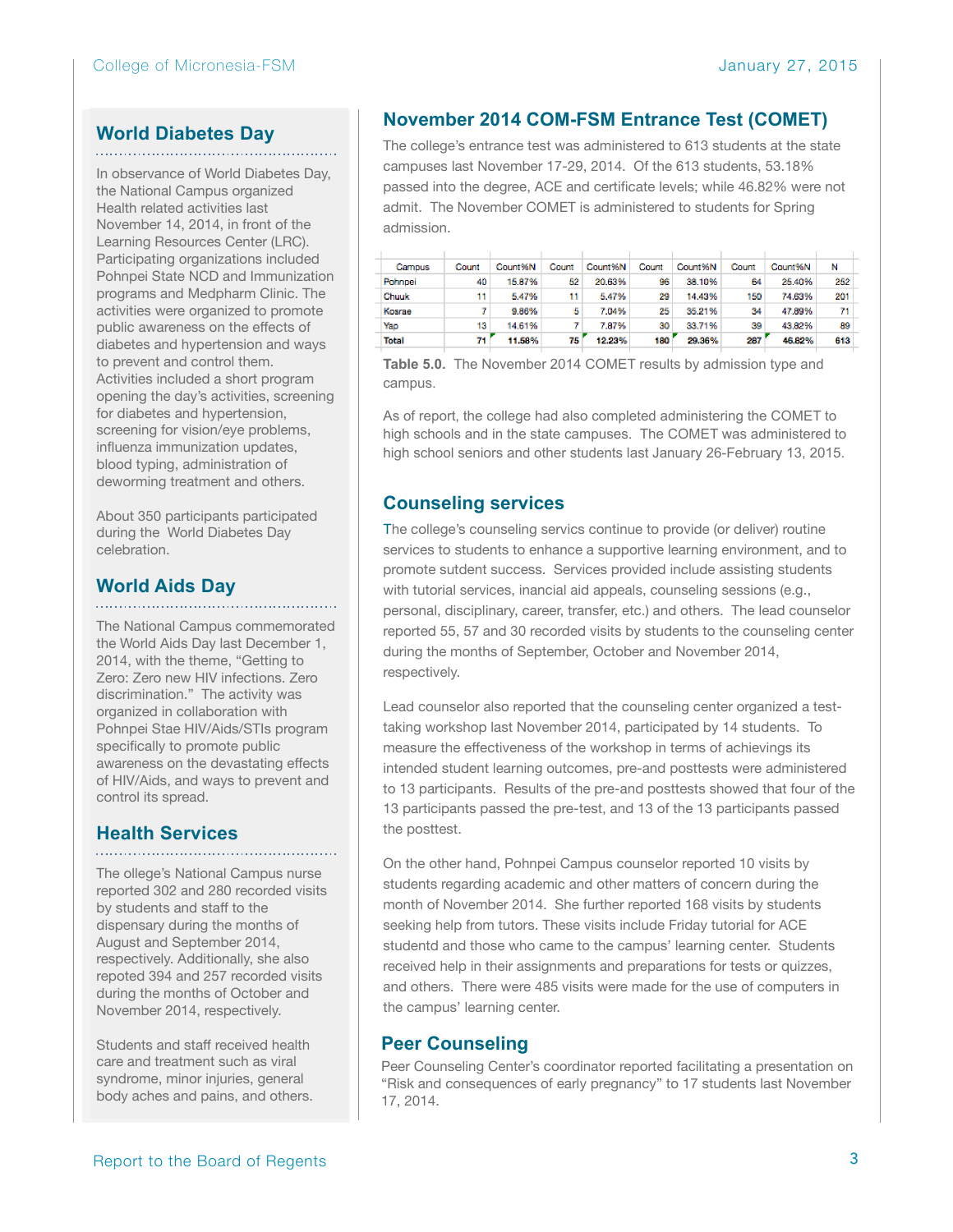#### **World Diabetes Day**

In observance of World Diabetes Day, the National Campus organized Health related activities last November 14, 2014, in front of the Learning Resources Center (LRC). Participating organizations included Pohnpei State NCD and Immunization programs and Medpharm Clinic. The activities were organized to promote public awareness on the effects of diabetes and hypertension and ways to prevent and control them. Activities included a short program opening the day's activities, screening for diabetes and hypertension, screening for vision/eye problems, influenza immunization updates, blood typing, administration of deworming treatment and others.

About 350 participants participated during the World Diabetes Day celebration.

#### **World Aids Day**

The National Campus commemorated the World Aids Day last December 1, 2014, with the theme, "Getting to Zero: Zero new HIV infections. Zero discrimination." The activity was organized in collaboration with Pohnpei Stae HIV/Aids/STIs program specifically to promote public awareness on the devastating effects of HIV/Aids, and ways to prevent and control its spread.

#### **Health Services**

The ollege's National Campus nurse reported 302 and 280 recorded visits by students and staff to the dispensary during the months of August and September 2014, respectively. Additionally, she also repoted 394 and 257 recorded visits during the months of October and November 2014, respectively.

Students and staff received health care and treatment such as viral syndrome, minor injuries, general body aches and pains, and others.

# **November 2014 COM-FSM Entrance Test (COMET)**

The college's entrance test was administered to 613 students at the state campuses last November 17-29, 2014. Of the 613 students, 53.18% passed into the degree, ACE and certificate levels; while 46.82% were not admit. The November COMET is administered to students for Spring admission.

| Campus  | Count | Count%N | Count | Count%N | Count | Count%N | Count | Count%N | Ν   |
|---------|-------|---------|-------|---------|-------|---------|-------|---------|-----|
| Pohnpei | 40    | 15.87%  | 52    | 20.63%  | 96    | 38.10%  | 64    | 25.40%  | 252 |
| Chuuk   | 11.   | 5.47%   | 11    | 5.47%   | 29    | 14.43%  | 150   | 74.63%  | 201 |
| Kosrae  |       | 9.86%   | 5     | 7.04%   | 25    | 35.21%  | 34    | 47.89%  | 71  |
| Yap     | 13    | 14.61%  |       | 7.87%   | 30    | 33.71%  | 39    | 43.82%  | 89  |
| Total   | 71    | 11.58%  | 75    | 12.23%  | 180   | 29.36%  | 287   | 46.82%  | 613 |
|         |       |         |       |         |       |         |       |         |     |

**Table 5.0.** The November 2014 COMET results by admission type and campus.

As of report, the college had also completed administering the COMET to high schools and in the state campuses. The COMET was administered to high school seniors and other students last January 26-February 13, 2015.

# **Counseling services**

The college's counseling servics continue to provide (or deliver) routine services to students to enhance a supportive learning environment, and to promote sutdent success. Services provided include assisting students with tutorial services, inancial aid appeals, counseling sessions (e.g., personal, disciplinary, career, transfer, etc.) and others. The lead counselor reported 55, 57 and 30 recorded visits by students to the counseling center during the months of September, October and November 2014, respectively.

Lead counselor also reported that the counseling center organized a testtaking workshop last November 2014, participated by 14 students. To measure the effectiveness of the workshop in terms of achievings its intended student learning outcomes, pre-and posttests were administered to 13 participants. Results of the pre-and posttests showed that four of the 13 participants passed the pre-test, and 13 of the 13 participants passed the posttest.

On the other hand, Pohnpei Campus counselor reported 10 visits by students regarding academic and other matters of concern during the month of November 2014. She further reported 168 visits by students seeking help from tutors. These visits include Friday tutorial for ACE studentd and those who came to the campus' learning center. Students received help in their assignments and preparations for tests or quizzes, and others. There were 485 visits were made for the use of computers in the campus' learning center.

#### **Peer Counseling**

Peer Counseling Center's coordinator reported facilitating a presentation on "Risk and consequences of early pregnancy" to 17 students last November 17, 2014.